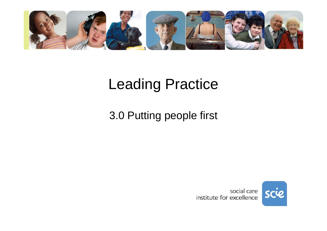

# Leading Practice

#### 3.0 Putting people first

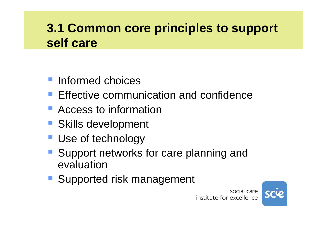#### **3.1 Common core principles to support self care**

- **Informed choices**
- **Effective communication and confidence**
- **Access to information**
- **Skills development**
- **Use of technology**
- Support networks for care planning and evaluation
- **Supported risk management**

social care institute for excellence

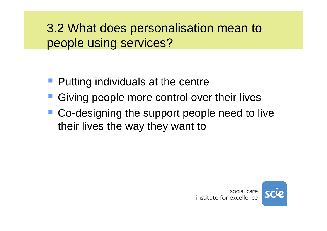#### 3.2 What does personalisation mean to people using services?

- **Putting individuals at the centre**
- **Giving people more control over their lives**
- Co-designing the support people need to live their lives the way they want to

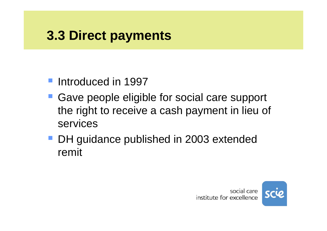## **3.3 Direct payments**

- **Introduced in 1997**
- Gave people eligible for social care support the right to receive a cash payment in lieu of services
- DH guidance published in 2003 extended remit

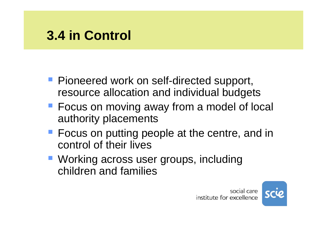## **3.4 in Control**

- **Pioneered work on self-directed support,** resource allocation and individual budgets
- **Focus on moving away from a model of local** authority placements
- **Focus on putting people at the centre, and in** control of their lives
- Working across user groups, including children and families



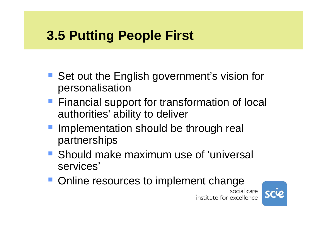# **3.5 Putting People First**

- Set out the English government's vision for personalisation
- **Financial support for transformation of local** authorities' ability to deliver
- **Implementation should be through real** partnerships
- Should make maximum use of 'universal services'
- **Online resources to implement change** social care



institute for excellence